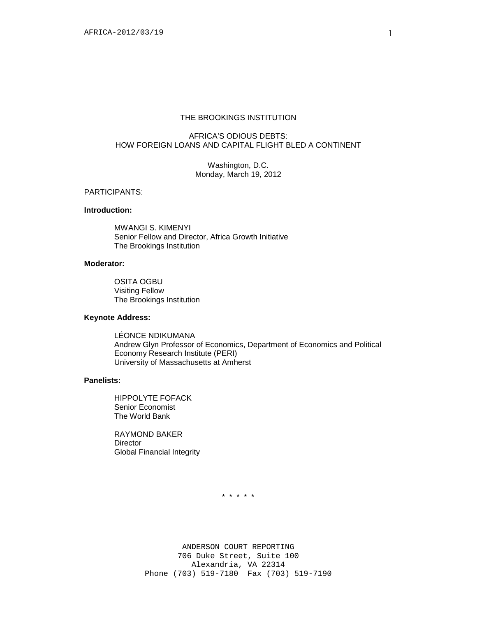### THE BROOKINGS INSTITUTION

# AFRICA'S ODIOUS DEBTS: HOW FOREIGN LOANS AND CAPITAL FLIGHT BLED A CONTINENT

Washington, D.C. Monday, March 19, 2012

#### PARTICIPANTS:

# **Introduction:**

MWANGI S. KIMENYI Senior Fellow and Director, Africa Growth Initiative The Brookings Institution

#### **Moderator:**

OSITA OGBU Visiting Fellow The Brookings Institution

# **Keynote Address:**

LÉONCE NDIKUMANA Andrew Glyn Professor of Economics, Department of Economics and Political Economy Research Institute (PERI) University of Massachusetts at Amherst

### **Panelists:**

HIPPOLYTE FOFACK Senior Economist The World Bank

RAYMOND BAKER **Director** Global Financial Integrity

\* \* \* \* \*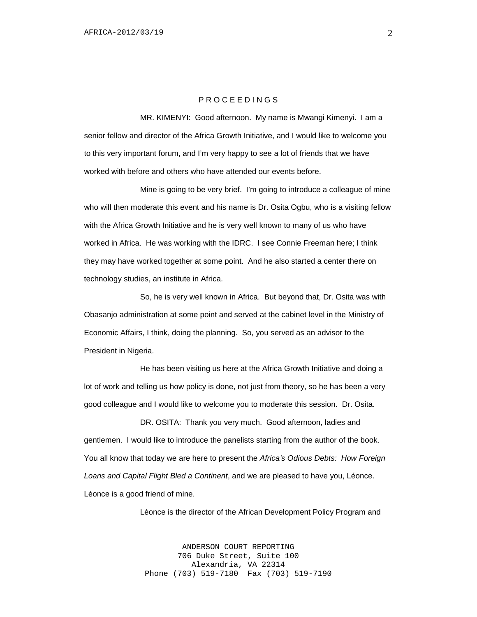## P R O C E E D I N G S

MR. KIMENYI: Good afternoon. My name is Mwangi Kimenyi. I am a senior fellow and director of the Africa Growth Initiative, and I would like to welcome you to this very important forum, and I'm very happy to see a lot of friends that we have worked with before and others who have attended our events before.

Mine is going to be very brief. I'm going to introduce a colleague of mine who will then moderate this event and his name is Dr. Osita Ogbu, who is a visiting fellow with the Africa Growth Initiative and he is very well known to many of us who have worked in Africa. He was working with the IDRC. I see Connie Freeman here; I think they may have worked together at some point. And he also started a center there on technology studies, an institute in Africa.

So, he is very well known in Africa. But beyond that, Dr. Osita was with Obasanjo administration at some point and served at the cabinet level in the Ministry of Economic Affairs, I think, doing the planning. So, you served as an advisor to the President in Nigeria.

He has been visiting us here at the Africa Growth Initiative and doing a lot of work and telling us how policy is done, not just from theory, so he has been a very good colleague and I would like to welcome you to moderate this session. Dr. Osita.

DR. OSITA: Thank you very much. Good afternoon, ladies and gentlemen. I would like to introduce the panelists starting from the author of the book. You all know that today we are here to present the *Africa's Odious Debts: How Foreign Loans and Capital Flight Bled a Continent*, and we are pleased to have you, Léonce. Léonce is a good friend of mine.

Léonce is the director of the African Development Policy Program and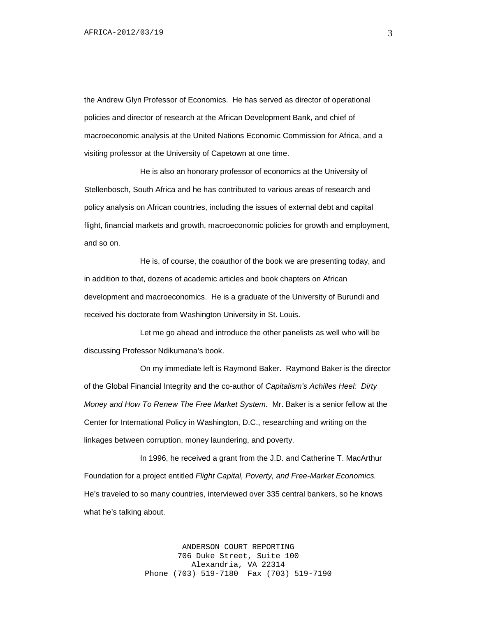the Andrew Glyn Professor of Economics. He has served as director of operational policies and director of research at the African Development Bank, and chief of macroeconomic analysis at the United Nations Economic Commission for Africa, and a visiting professor at the University of Capetown at one time.

He is also an honorary professor of economics at the University of Stellenbosch, South Africa and he has contributed to various areas of research and policy analysis on African countries, including the issues of external debt and capital flight, financial markets and growth, macroeconomic policies for growth and employment, and so on.

He is, of course, the coauthor of the book we are presenting today, and in addition to that, dozens of academic articles and book chapters on African development and macroeconomics. He is a graduate of the University of Burundi and received his doctorate from Washington University in St. Louis.

Let me go ahead and introduce the other panelists as well who will be discussing Professor Ndikumana's book.

On my immediate left is Raymond Baker. Raymond Baker is the director of the Global Financial Integrity and the co-author of *Capitalism's Achilles Heel: Dirty Money and How To Renew The Free Market System.* Mr. Baker is a senior fellow at the Center for International Policy in Washington, D.C., researching and writing on the linkages between corruption, money laundering, and poverty.

In 1996, he received a grant from the J.D. and Catherine T. MacArthur Foundation for a project entitled *Flight Capital, Poverty, and Free-Market Economics.*  He's traveled to so many countries, interviewed over 335 central bankers, so he knows what he's talking about.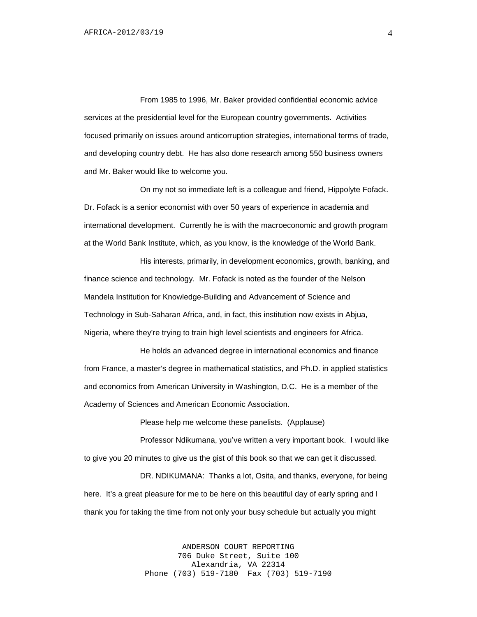From 1985 to 1996, Mr. Baker provided confidential economic advice services at the presidential level for the European country governments. Activities focused primarily on issues around anticorruption strategies, international terms of trade, and developing country debt. He has also done research among 550 business owners and Mr. Baker would like to welcome you.

On my not so immediate left is a colleague and friend, Hippolyte Fofack. Dr. Fofack is a senior economist with over 50 years of experience in academia and international development. Currently he is with the macroeconomic and growth program at the World Bank Institute, which, as you know, is the knowledge of the World Bank.

His interests, primarily, in development economics, growth, banking, and finance science and technology. Mr. Fofack is noted as the founder of the Nelson Mandela Institution for Knowledge-Building and Advancement of Science and Technology in Sub-Saharan Africa, and, in fact, this institution now exists in Abjua, Nigeria, where they're trying to train high level scientists and engineers for Africa.

He holds an advanced degree in international economics and finance from France, a master's degree in mathematical statistics, and Ph.D. in applied statistics and economics from American University in Washington, D.C. He is a member of the Academy of Sciences and American Economic Association.

Please help me welcome these panelists. (Applause)

Professor Ndikumana, you've written a very important book. I would like to give you 20 minutes to give us the gist of this book so that we can get it discussed.

DR. NDIKUMANA: Thanks a lot, Osita, and thanks, everyone, for being here. It's a great pleasure for me to be here on this beautiful day of early spring and I thank you for taking the time from not only your busy schedule but actually you might

> ANDERSON COURT REPORTING 706 Duke Street, Suite 100 Alexandria, VA 22314 Phone (703) 519-7180 Fax (703) 519-7190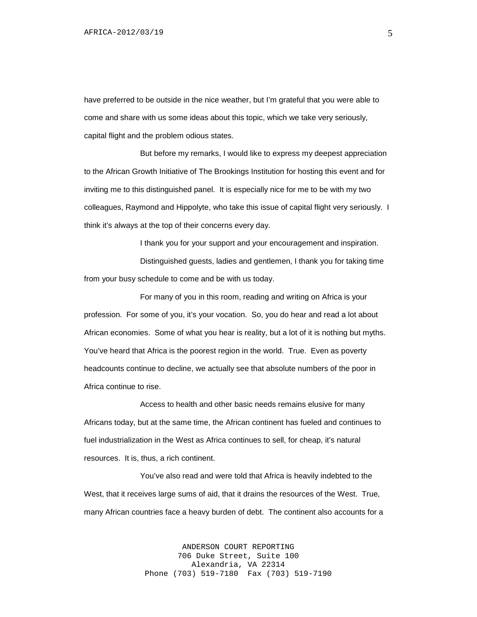have preferred to be outside in the nice weather, but I'm grateful that you were able to come and share with us some ideas about this topic, which we take very seriously, capital flight and the problem odious states.

But before my remarks, I would like to express my deepest appreciation to the African Growth Initiative of The Brookings Institution for hosting this event and for inviting me to this distinguished panel. It is especially nice for me to be with my two colleagues, Raymond and Hippolyte, who take this issue of capital flight very seriously. I think it's always at the top of their concerns every day.

I thank you for your support and your encouragement and inspiration.

Distinguished guests, ladies and gentlemen, I thank you for taking time from your busy schedule to come and be with us today.

For many of you in this room, reading and writing on Africa is your profession. For some of you, it's your vocation. So, you do hear and read a lot about African economies. Some of what you hear is reality, but a lot of it is nothing but myths. You've heard that Africa is the poorest region in the world. True. Even as poverty headcounts continue to decline, we actually see that absolute numbers of the poor in Africa continue to rise.

Access to health and other basic needs remains elusive for many Africans today, but at the same time, the African continent has fueled and continues to fuel industrialization in the West as Africa continues to sell, for cheap, it's natural resources. It is, thus, a rich continent.

You've also read and were told that Africa is heavily indebted to the West, that it receives large sums of aid, that it drains the resources of the West. True, many African countries face a heavy burden of debt. The continent also accounts for a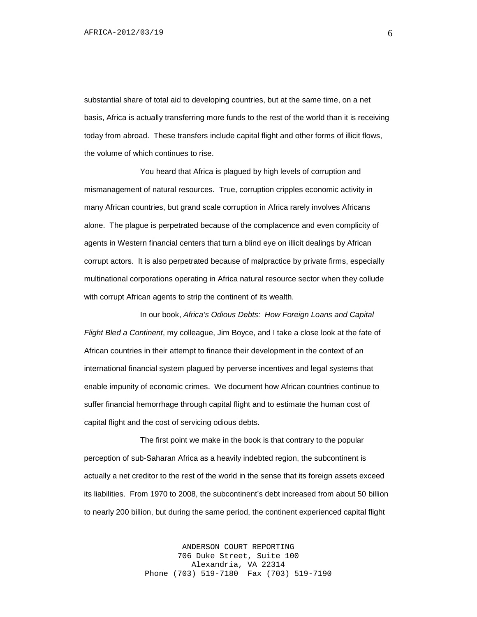substantial share of total aid to developing countries, but at the same time, on a net basis, Africa is actually transferring more funds to the rest of the world than it is receiving today from abroad. These transfers include capital flight and other forms of illicit flows, the volume of which continues to rise.

You heard that Africa is plagued by high levels of corruption and mismanagement of natural resources. True, corruption cripples economic activity in many African countries, but grand scale corruption in Africa rarely involves Africans alone. The plague is perpetrated because of the complacence and even complicity of agents in Western financial centers that turn a blind eye on illicit dealings by African corrupt actors. It is also perpetrated because of malpractice by private firms, especially multinational corporations operating in Africa natural resource sector when they collude with corrupt African agents to strip the continent of its wealth.

In our book, *Africa's Odious Debts: How Foreign Loans and Capital Flight Bled a Continent*, my colleague, Jim Boyce, and I take a close look at the fate of African countries in their attempt to finance their development in the context of an international financial system plagued by perverse incentives and legal systems that enable impunity of economic crimes. We document how African countries continue to suffer financial hemorrhage through capital flight and to estimate the human cost of capital flight and the cost of servicing odious debts.

The first point we make in the book is that contrary to the popular perception of sub-Saharan Africa as a heavily indebted region, the subcontinent is actually a net creditor to the rest of the world in the sense that its foreign assets exceed its liabilities. From 1970 to 2008, the subcontinent's debt increased from about 50 billion to nearly 200 billion, but during the same period, the continent experienced capital flight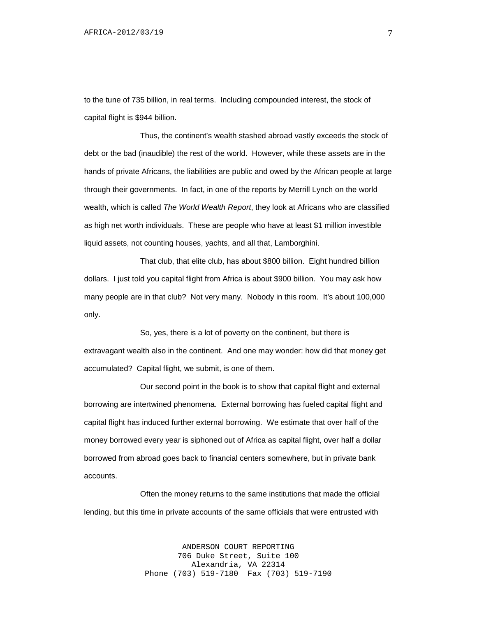to the tune of 735 billion, in real terms. Including compounded interest, the stock of capital flight is \$944 billion.

Thus, the continent's wealth stashed abroad vastly exceeds the stock of debt or the bad (inaudible) the rest of the world. However, while these assets are in the hands of private Africans, the liabilities are public and owed by the African people at large through their governments. In fact, in one of the reports by Merrill Lynch on the world wealth, which is called *The World Wealth Report*, they look at Africans who are classified as high net worth individuals. These are people who have at least \$1 million investible liquid assets, not counting houses, yachts, and all that, Lamborghini.

That club, that elite club, has about \$800 billion. Eight hundred billion dollars. I just told you capital flight from Africa is about \$900 billion. You may ask how many people are in that club? Not very many. Nobody in this room. It's about 100,000 only.

So, yes, there is a lot of poverty on the continent, but there is extravagant wealth also in the continent. And one may wonder: how did that money get accumulated? Capital flight, we submit, is one of them.

Our second point in the book is to show that capital flight and external borrowing are intertwined phenomena. External borrowing has fueled capital flight and capital flight has induced further external borrowing. We estimate that over half of the money borrowed every year is siphoned out of Africa as capital flight, over half a dollar borrowed from abroad goes back to financial centers somewhere, but in private bank accounts.

Often the money returns to the same institutions that made the official lending, but this time in private accounts of the same officials that were entrusted with

> ANDERSON COURT REPORTING 706 Duke Street, Suite 100 Alexandria, VA 22314 Phone (703) 519-7180 Fax (703) 519-7190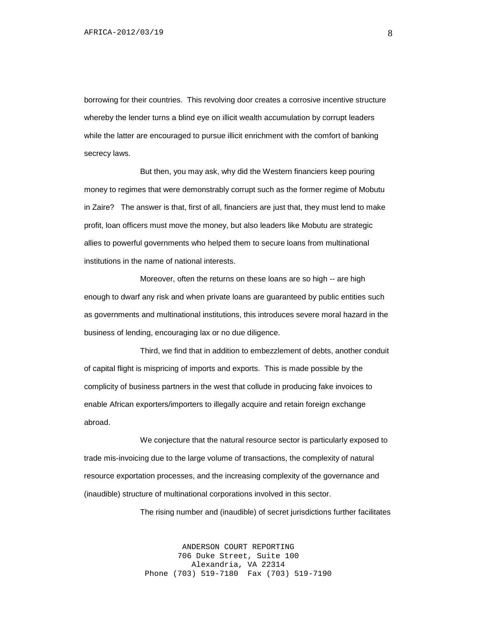borrowing for their countries. This revolving door creates a corrosive incentive structure whereby the lender turns a blind eye on illicit wealth accumulation by corrupt leaders while the latter are encouraged to pursue illicit enrichment with the comfort of banking secrecy laws.

But then, you may ask, why did the Western financiers keep pouring money to regimes that were demonstrably corrupt such as the former regime of Mobutu in Zaire? The answer is that, first of all, financiers are just that, they must lend to make profit, loan officers must move the money, but also leaders like Mobutu are strategic allies to powerful governments who helped them to secure loans from multinational institutions in the name of national interests.

Moreover, often the returns on these loans are so high -- are high enough to dwarf any risk and when private loans are guaranteed by public entities such as governments and multinational institutions, this introduces severe moral hazard in the business of lending, encouraging lax or no due diligence.

Third, we find that in addition to embezzlement of debts, another conduit of capital flight is mispricing of imports and exports. This is made possible by the complicity of business partners in the west that collude in producing fake invoices to enable African exporters/importers to illegally acquire and retain foreign exchange abroad.

We conjecture that the natural resource sector is particularly exposed to trade mis-invoicing due to the large volume of transactions, the complexity of natural resource exportation processes, and the increasing complexity of the governance and (inaudible) structure of multinational corporations involved in this sector.

The rising number and (inaudible) of secret jurisdictions further facilitates

ANDERSON COURT REPORTING 706 Duke Street, Suite 100 Alexandria, VA 22314 Phone (703) 519-7180 Fax (703) 519-7190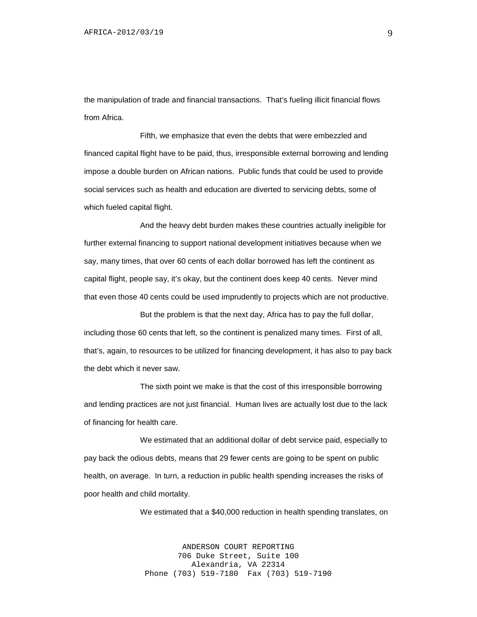the manipulation of trade and financial transactions. That's fueling illicit financial flows from Africa.

Fifth, we emphasize that even the debts that were embezzled and financed capital flight have to be paid, thus, irresponsible external borrowing and lending impose a double burden on African nations. Public funds that could be used to provide social services such as health and education are diverted to servicing debts, some of which fueled capital flight.

And the heavy debt burden makes these countries actually ineligible for further external financing to support national development initiatives because when we say, many times, that over 60 cents of each dollar borrowed has left the continent as capital flight, people say, it's okay, but the continent does keep 40 cents. Never mind that even those 40 cents could be used imprudently to projects which are not productive.

But the problem is that the next day, Africa has to pay the full dollar, including those 60 cents that left, so the continent is penalized many times. First of all, that's, again, to resources to be utilized for financing development, it has also to pay back the debt which it never saw.

The sixth point we make is that the cost of this irresponsible borrowing and lending practices are not just financial. Human lives are actually lost due to the lack of financing for health care.

We estimated that an additional dollar of debt service paid, especially to pay back the odious debts, means that 29 fewer cents are going to be spent on public health, on average. In turn, a reduction in public health spending increases the risks of poor health and child mortality.

We estimated that a \$40,000 reduction in health spending translates, on

ANDERSON COURT REPORTING 706 Duke Street, Suite 100 Alexandria, VA 22314 Phone (703) 519-7180 Fax (703) 519-7190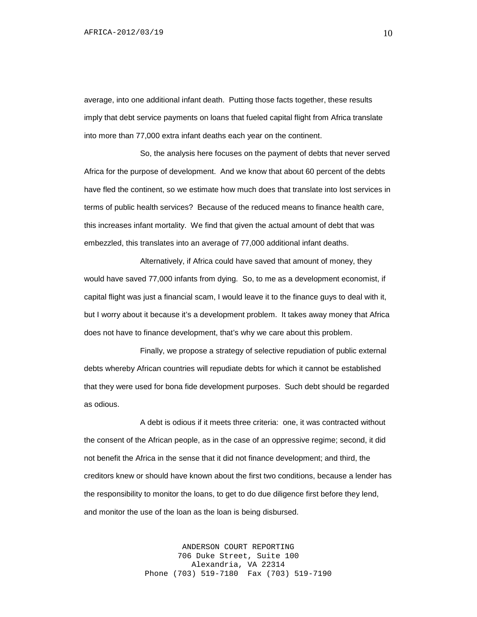average, into one additional infant death. Putting those facts together, these results imply that debt service payments on loans that fueled capital flight from Africa translate into more than 77,000 extra infant deaths each year on the continent.

So, the analysis here focuses on the payment of debts that never served Africa for the purpose of development. And we know that about 60 percent of the debts have fled the continent, so we estimate how much does that translate into lost services in terms of public health services? Because of the reduced means to finance health care, this increases infant mortality. We find that given the actual amount of debt that was embezzled, this translates into an average of 77,000 additional infant deaths.

Alternatively, if Africa could have saved that amount of money, they would have saved 77,000 infants from dying. So, to me as a development economist, if capital flight was just a financial scam, I would leave it to the finance guys to deal with it, but I worry about it because it's a development problem. It takes away money that Africa does not have to finance development, that's why we care about this problem.

Finally, we propose a strategy of selective repudiation of public external debts whereby African countries will repudiate debts for which it cannot be established that they were used for bona fide development purposes. Such debt should be regarded as odious.

A debt is odious if it meets three criteria: one, it was contracted without the consent of the African people, as in the case of an oppressive regime; second, it did not benefit the Africa in the sense that it did not finance development; and third, the creditors knew or should have known about the first two conditions, because a lender has the responsibility to monitor the loans, to get to do due diligence first before they lend, and monitor the use of the loan as the loan is being disbursed.

> ANDERSON COURT REPORTING 706 Duke Street, Suite 100 Alexandria, VA 22314 Phone (703) 519-7180 Fax (703) 519-7190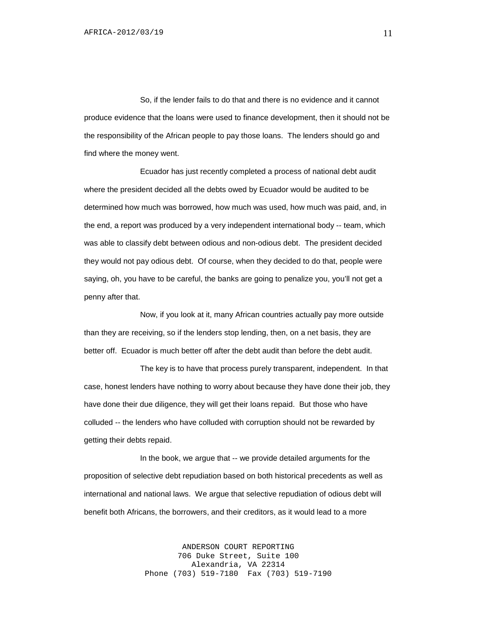So, if the lender fails to do that and there is no evidence and it cannot produce evidence that the loans were used to finance development, then it should not be the responsibility of the African people to pay those loans. The lenders should go and find where the money went.

Ecuador has just recently completed a process of national debt audit where the president decided all the debts owed by Ecuador would be audited to be determined how much was borrowed, how much was used, how much was paid, and, in the end, a report was produced by a very independent international body -- team, which was able to classify debt between odious and non-odious debt. The president decided they would not pay odious debt. Of course, when they decided to do that, people were saying, oh, you have to be careful, the banks are going to penalize you, you'll not get a penny after that.

Now, if you look at it, many African countries actually pay more outside than they are receiving, so if the lenders stop lending, then, on a net basis, they are better off. Ecuador is much better off after the debt audit than before the debt audit.

The key is to have that process purely transparent, independent. In that case, honest lenders have nothing to worry about because they have done their job, they have done their due diligence, they will get their loans repaid. But those who have colluded -- the lenders who have colluded with corruption should not be rewarded by getting their debts repaid.

In the book, we argue that -- we provide detailed arguments for the proposition of selective debt repudiation based on both historical precedents as well as international and national laws. We argue that selective repudiation of odious debt will benefit both Africans, the borrowers, and their creditors, as it would lead to a more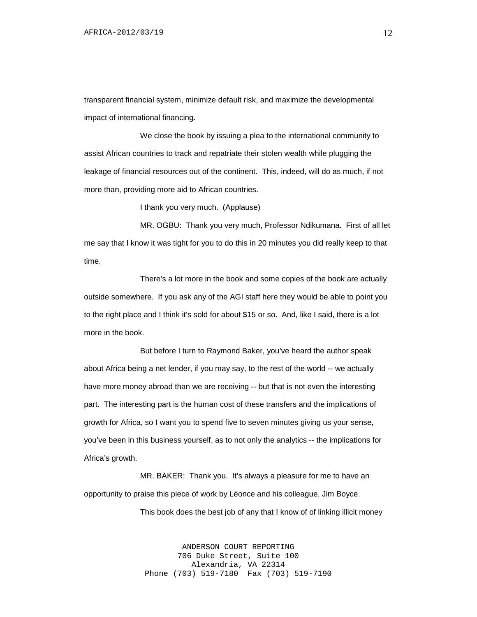transparent financial system, minimize default risk, and maximize the developmental impact of international financing.

We close the book by issuing a plea to the international community to assist African countries to track and repatriate their stolen wealth while plugging the leakage of financial resources out of the continent. This, indeed, will do as much, if not more than, providing more aid to African countries.

I thank you very much. (Applause)

MR. OGBU: Thank you very much, Professor Ndikumana. First of all let me say that I know it was tight for you to do this in 20 minutes you did really keep to that time.

There's a lot more in the book and some copies of the book are actually outside somewhere. If you ask any of the AGI staff here they would be able to point you to the right place and I think it's sold for about \$15 or so. And, like I said, there is a lot more in the book.

But before I turn to Raymond Baker, you've heard the author speak about Africa being a net lender, if you may say, to the rest of the world -- we actually have more money abroad than we are receiving -- but that is not even the interesting part. The interesting part is the human cost of these transfers and the implications of growth for Africa, so I want you to spend five to seven minutes giving us your sense, you've been in this business yourself, as to not only the analytics -- the implications for Africa's growth.

MR. BAKER: Thank you. It's always a pleasure for me to have an opportunity to praise this piece of work by Léonce and his colleague, Jim Boyce.

This book does the best job of any that I know of of linking illicit money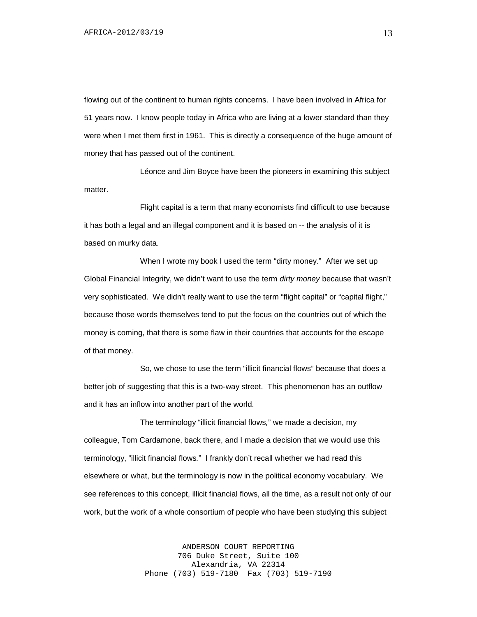flowing out of the continent to human rights concerns. I have been involved in Africa for 51 years now. I know people today in Africa who are living at a lower standard than they were when I met them first in 1961. This is directly a consequence of the huge amount of money that has passed out of the continent.

Léonce and Jim Boyce have been the pioneers in examining this subject matter.

Flight capital is a term that many economists find difficult to use because it has both a legal and an illegal component and it is based on -- the analysis of it is based on murky data.

When I wrote my book I used the term "dirty money." After we set up Global Financial Integrity, we didn't want to use the term *dirty money* because that wasn't very sophisticated. We didn't really want to use the term "flight capital" or "capital flight," because those words themselves tend to put the focus on the countries out of which the money is coming, that there is some flaw in their countries that accounts for the escape of that money.

So, we chose to use the term "illicit financial flows" because that does a better job of suggesting that this is a two-way street. This phenomenon has an outflow and it has an inflow into another part of the world.

The terminology "illicit financial flows*,*" we made a decision, my colleague, Tom Cardamone, back there, and I made a decision that we would use this terminology, "illicit financial flows*.*" I frankly don't recall whether we had read this elsewhere or what, but the terminology is now in the political economy vocabulary. We see references to this concept, illicit financial flows, all the time, as a result not only of our work, but the work of a whole consortium of people who have been studying this subject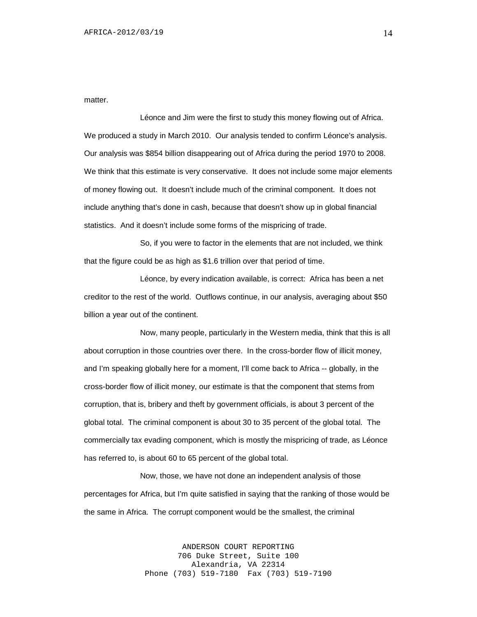matter.

Léonce and Jim were the first to study this money flowing out of Africa. We produced a study in March 2010. Our analysis tended to confirm Léonce's analysis. Our analysis was \$854 billion disappearing out of Africa during the period 1970 to 2008. We think that this estimate is very conservative. It does not include some major elements of money flowing out. It doesn't include much of the criminal component. It does not include anything that's done in cash, because that doesn't show up in global financial statistics. And it doesn't include some forms of the mispricing of trade.

So, if you were to factor in the elements that are not included, we think that the figure could be as high as \$1.6 trillion over that period of time.

Léonce, by every indication available, is correct: Africa has been a net creditor to the rest of the world. Outflows continue, in our analysis, averaging about \$50 billion a year out of the continent.

Now, many people, particularly in the Western media, think that this is all about corruption in those countries over there. In the cross-border flow of illicit money, and I'm speaking globally here for a moment, I'll come back to Africa -- globally, in the cross-border flow of illicit money, our estimate is that the component that stems from corruption, that is, bribery and theft by government officials, is about 3 percent of the global total. The criminal component is about 30 to 35 percent of the global total. The commercially tax evading component, which is mostly the mispricing of trade, as Léonce has referred to, is about 60 to 65 percent of the global total.

Now, those, we have not done an independent analysis of those percentages for Africa, but I'm quite satisfied in saying that the ranking of those would be the same in Africa. The corrupt component would be the smallest, the criminal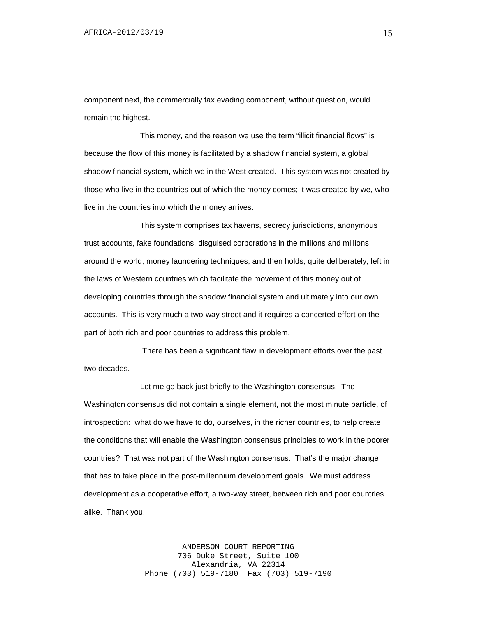component next, the commercially tax evading component, without question, would remain the highest.

This money, and the reason we use the term "illicit financial flows" is because the flow of this money is facilitated by a shadow financial system, a global shadow financial system, which we in the West created. This system was not created by those who live in the countries out of which the money comes; it was created by we, who live in the countries into which the money arrives.

This system comprises tax havens, secrecy jurisdictions, anonymous trust accounts, fake foundations, disguised corporations in the millions and millions around the world, money laundering techniques, and then holds, quite deliberately, left in the laws of Western countries which facilitate the movement of this money out of developing countries through the shadow financial system and ultimately into our own accounts. This is very much a two-way street and it requires a concerted effort on the part of both rich and poor countries to address this problem.

There has been a significant flaw in development efforts over the past two decades.

Let me go back just briefly to the Washington consensus. The Washington consensus did not contain a single element, not the most minute particle, of introspection: what do we have to do, ourselves, in the richer countries, to help create the conditions that will enable the Washington consensus principles to work in the poorer countries? That was not part of the Washington consensus. That's the major change that has to take place in the post-millennium development goals. We must address development as a cooperative effort, a two-way street, between rich and poor countries alike. Thank you.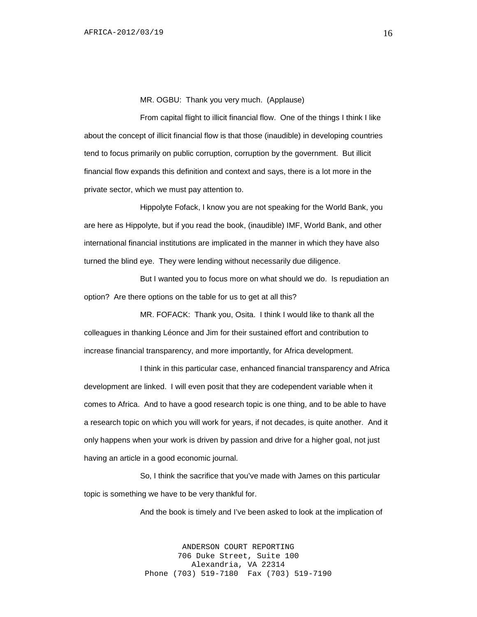MR. OGBU: Thank you very much. (Applause)

From capital flight to illicit financial flow. One of the things I think I like about the concept of illicit financial flow is that those (inaudible) in developing countries tend to focus primarily on public corruption, corruption by the government. But illicit financial flow expands this definition and context and says, there is a lot more in the private sector, which we must pay attention to.

Hippolyte Fofack, I know you are not speaking for the World Bank, you are here as Hippolyte, but if you read the book, (inaudible) IMF, World Bank, and other international financial institutions are implicated in the manner in which they have also turned the blind eye. They were lending without necessarily due diligence.

But I wanted you to focus more on what should we do. Is repudiation an option? Are there options on the table for us to get at all this?

MR. FOFACK: Thank you, Osita. I think I would like to thank all the colleagues in thanking Léonce and Jim for their sustained effort and contribution to increase financial transparency, and more importantly, for Africa development.

I think in this particular case, enhanced financial transparency and Africa development are linked. I will even posit that they are codependent variable when it comes to Africa. And to have a good research topic is one thing, and to be able to have a research topic on which you will work for years, if not decades, is quite another. And it only happens when your work is driven by passion and drive for a higher goal, not just having an article in a good economic journal.

So, I think the sacrifice that you've made with James on this particular topic is something we have to be very thankful for.

And the book is timely and I've been asked to look at the implication of

ANDERSON COURT REPORTING 706 Duke Street, Suite 100 Alexandria, VA 22314 Phone (703) 519-7180 Fax (703) 519-7190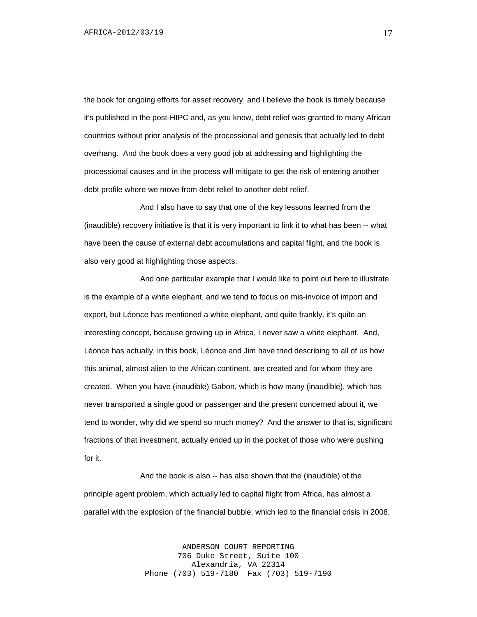the book for ongoing efforts for asset recovery, and I believe the book is timely because it's published in the post-HIPC and, as you know, debt relief was granted to many African countries without prior analysis of the processional and genesis that actually led to debt overhang. And the book does a very good job at addressing and highlighting the processional causes and in the process will mitigate to get the risk of entering another debt profile where we move from debt relief to another debt relief.

And I also have to say that one of the key lessons learned from the (inaudible) recovery initiative is that it is very important to link it to what has been -- what have been the cause of external debt accumulations and capital flight, and the book is also very good at highlighting those aspects.

And one particular example that I would like to point out here to illustrate is the example of a white elephant, and we tend to focus on mis-invoice of import and export, but Léonce has mentioned a white elephant, and quite frankly, it's quite an interesting concept, because growing up in Africa, I never saw a white elephant. And, Léonce has actually, in this book, Léonce and Jim have tried describing to all of us how this animal, almost alien to the African continent, are created and for whom they are created. When you have (inaudible) Gabon, which is how many (inaudible), which has never transported a single good or passenger and the present concerned about it, we tend to wonder, why did we spend so much money? And the answer to that is, significant fractions of that investment, actually ended up in the pocket of those who were pushing for it.

And the book is also -- has also shown that the (inaudible) of the principle agent problem, which actually led to capital flight from Africa, has almost a parallel with the explosion of the financial bubble, which led to the financial crisis in 2008,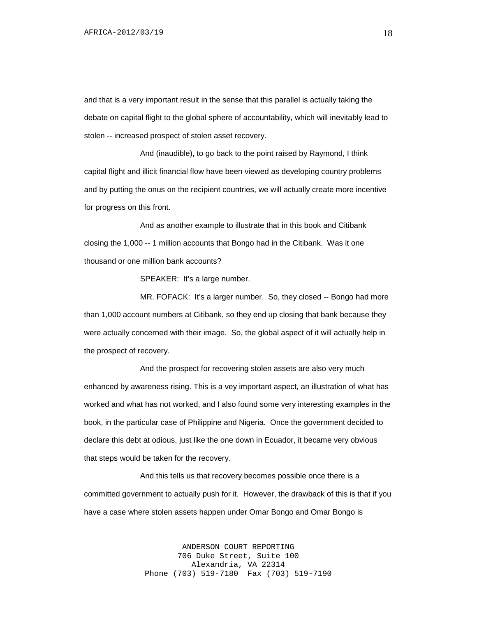and that is a very important result in the sense that this parallel is actually taking the debate on capital flight to the global sphere of accountability, which will inevitably lead to stolen -- increased prospect of stolen asset recovery.

And (inaudible), to go back to the point raised by Raymond, I think capital flight and illicit financial flow have been viewed as developing country problems and by putting the onus on the recipient countries, we will actually create more incentive for progress on this front.

And as another example to illustrate that in this book and Citibank closing the 1,000 -- 1 million accounts that Bongo had in the Citibank. Was it one thousand or one million bank accounts?

SPEAKER: It's a large number.

MR. FOFACK: It's a larger number. So, they closed -- Bongo had more than 1,000 account numbers at Citibank, so they end up closing that bank because they were actually concerned with their image. So, the global aspect of it will actually help in the prospect of recovery.

And the prospect for recovering stolen assets are also very much enhanced by awareness rising. This is a vey important aspect, an illustration of what has worked and what has not worked, and I also found some very interesting examples in the book, in the particular case of Philippine and Nigeria. Once the government decided to declare this debt at odious, just like the one down in Ecuador, it became very obvious that steps would be taken for the recovery.

And this tells us that recovery becomes possible once there is a committed government to actually push for it. However, the drawback of this is that if you have a case where stolen assets happen under Omar Bongo and Omar Bongo is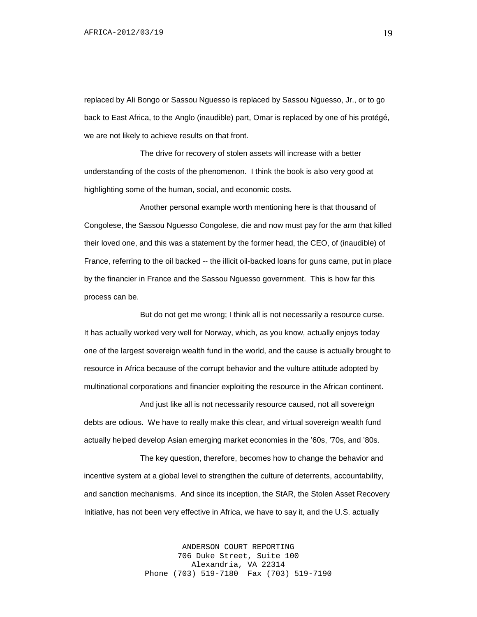replaced by Ali Bongo or Sassou Nguesso is replaced by Sassou Nguesso, Jr., or to go back to East Africa, to the Anglo (inaudible) part, Omar is replaced by one of his protégé, we are not likely to achieve results on that front.

The drive for recovery of stolen assets will increase with a better understanding of the costs of the phenomenon. I think the book is also very good at highlighting some of the human, social, and economic costs.

Another personal example worth mentioning here is that thousand of Congolese, the Sassou Nguesso Congolese, die and now must pay for the arm that killed their loved one, and this was a statement by the former head, the CEO, of (inaudible) of France, referring to the oil backed -- the illicit oil-backed loans for guns came, put in place by the financier in France and the Sassou Nguesso government. This is how far this process can be.

But do not get me wrong; I think all is not necessarily a resource curse. It has actually worked very well for Norway, which, as you know, actually enjoys today one of the largest sovereign wealth fund in the world, and the cause is actually brought to resource in Africa because of the corrupt behavior and the vulture attitude adopted by multinational corporations and financier exploiting the resource in the African continent.

And just like all is not necessarily resource caused, not all sovereign debts are odious. We have to really make this clear, and virtual sovereign wealth fund actually helped develop Asian emerging market economies in the '60s, '70s, and '80s.

The key question, therefore, becomes how to change the behavior and incentive system at a global level to strengthen the culture of deterrents, accountability, and sanction mechanisms. And since its inception, the StAR, the Stolen Asset Recovery Initiative, has not been very effective in Africa, we have to say it, and the U.S. actually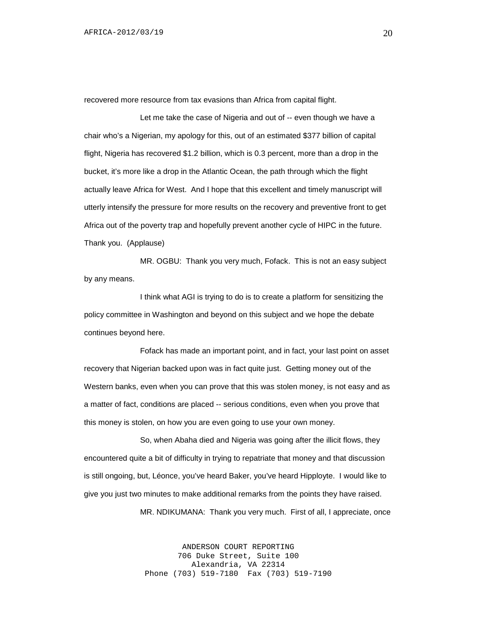recovered more resource from tax evasions than Africa from capital flight.

Let me take the case of Nigeria and out of -- even though we have a chair who's a Nigerian, my apology for this, out of an estimated \$377 billion of capital flight, Nigeria has recovered \$1.2 billion, which is 0.3 percent, more than a drop in the bucket, it's more like a drop in the Atlantic Ocean, the path through which the flight actually leave Africa for West. And I hope that this excellent and timely manuscript will utterly intensify the pressure for more results on the recovery and preventive front to get Africa out of the poverty trap and hopefully prevent another cycle of HIPC in the future. Thank you. (Applause)

MR. OGBU: Thank you very much, Fofack. This is not an easy subject by any means.

I think what AGI is trying to do is to create a platform for sensitizing the policy committee in Washington and beyond on this subject and we hope the debate continues beyond here.

Fofack has made an important point, and in fact, your last point on asset recovery that Nigerian backed upon was in fact quite just. Getting money out of the Western banks, even when you can prove that this was stolen money, is not easy and as a matter of fact, conditions are placed -- serious conditions, even when you prove that this money is stolen, on how you are even going to use your own money.

So, when Abaha died and Nigeria was going after the illicit flows, they encountered quite a bit of difficulty in trying to repatriate that money and that discussion is still ongoing, but, Léonce, you've heard Baker, you've heard Hipployte. I would like to give you just two minutes to make additional remarks from the points they have raised.

MR. NDIKUMANA: Thank you very much. First of all, I appreciate, once

ANDERSON COURT REPORTING 706 Duke Street, Suite 100 Alexandria, VA 22314 Phone (703) 519-7180 Fax (703) 519-7190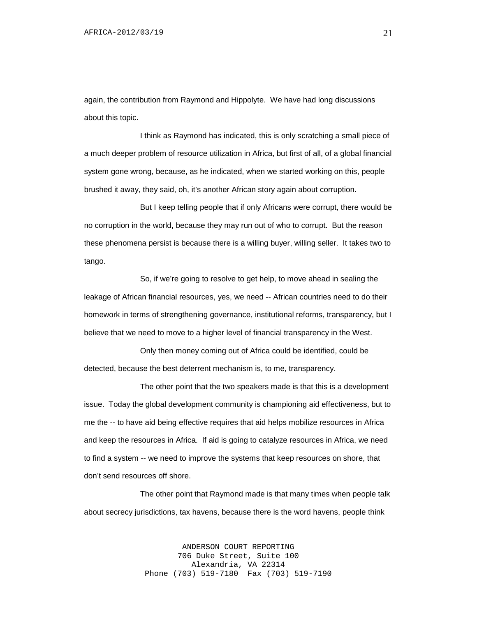again, the contribution from Raymond and Hippolyte. We have had long discussions about this topic.

I think as Raymond has indicated, this is only scratching a small piece of a much deeper problem of resource utilization in Africa, but first of all, of a global financial system gone wrong, because, as he indicated, when we started working on this, people brushed it away, they said, oh, it's another African story again about corruption.

But I keep telling people that if only Africans were corrupt, there would be no corruption in the world, because they may run out of who to corrupt. But the reason these phenomena persist is because there is a willing buyer, willing seller. It takes two to tango.

So, if we're going to resolve to get help, to move ahead in sealing the leakage of African financial resources, yes, we need -- African countries need to do their homework in terms of strengthening governance, institutional reforms, transparency, but I believe that we need to move to a higher level of financial transparency in the West.

Only then money coming out of Africa could be identified, could be detected, because the best deterrent mechanism is, to me, transparency.

The other point that the two speakers made is that this is a development issue. Today the global development community is championing aid effectiveness, but to me the -- to have aid being effective requires that aid helps mobilize resources in Africa and keep the resources in Africa. If aid is going to catalyze resources in Africa, we need to find a system -- we need to improve the systems that keep resources on shore, that don't send resources off shore.

The other point that Raymond made is that many times when people talk about secrecy jurisdictions, tax havens, because there is the word havens, people think

> ANDERSON COURT REPORTING 706 Duke Street, Suite 100 Alexandria, VA 22314 Phone (703) 519-7180 Fax (703) 519-7190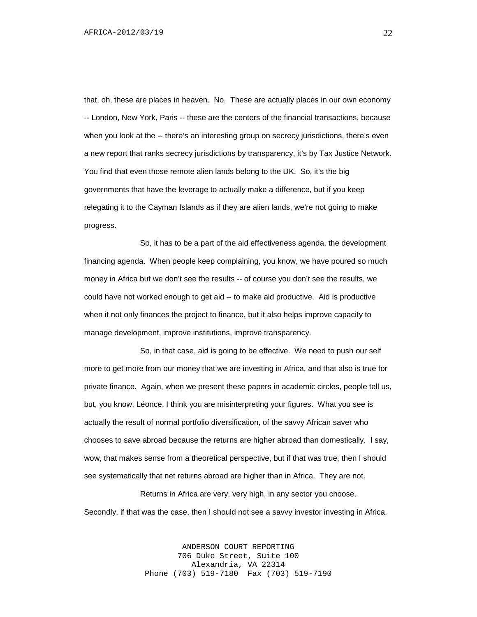that, oh, these are places in heaven. No. These are actually places in our own economy -- London, New York, Paris -- these are the centers of the financial transactions, because when you look at the -- there's an interesting group on secrecy jurisdictions, there's even a new report that ranks secrecy jurisdictions by transparency, it's by Tax Justice Network. You find that even those remote alien lands belong to the UK. So, it's the big governments that have the leverage to actually make a difference, but if you keep relegating it to the Cayman Islands as if they are alien lands, we're not going to make progress.

So, it has to be a part of the aid effectiveness agenda, the development financing agenda. When people keep complaining, you know, we have poured so much money in Africa but we don't see the results -- of course you don't see the results, we could have not worked enough to get aid -- to make aid productive. Aid is productive when it not only finances the project to finance, but it also helps improve capacity to manage development, improve institutions, improve transparency.

So, in that case, aid is going to be effective. We need to push our self more to get more from our money that we are investing in Africa, and that also is true for private finance. Again, when we present these papers in academic circles, people tell us, but, you know, Léonce, I think you are misinterpreting your figures. What you see is actually the result of normal portfolio diversification, of the savvy African saver who chooses to save abroad because the returns are higher abroad than domestically. I say, wow, that makes sense from a theoretical perspective, but if that was true, then I should see systematically that net returns abroad are higher than in Africa. They are not.

Returns in Africa are very, very high, in any sector you choose. Secondly, if that was the case, then I should not see a savvy investor investing in Africa.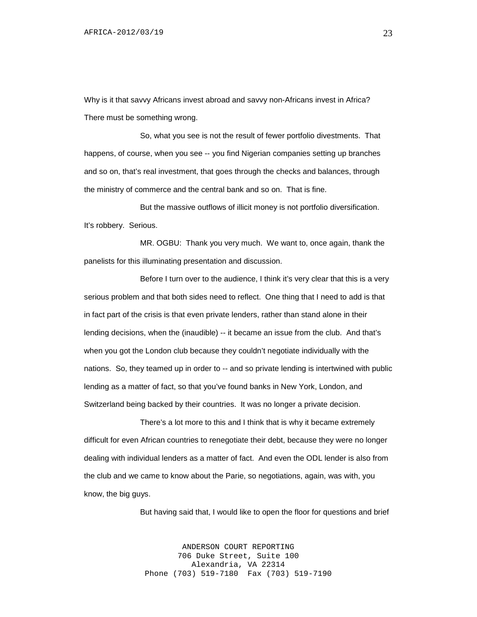Why is it that savvy Africans invest abroad and savvy non-Africans invest in Africa? There must be something wrong.

So, what you see is not the result of fewer portfolio divestments. That happens, of course, when you see -- you find Nigerian companies setting up branches and so on, that's real investment, that goes through the checks and balances, through the ministry of commerce and the central bank and so on. That is fine.

But the massive outflows of illicit money is not portfolio diversification. It's robbery. Serious.

MR. OGBU: Thank you very much. We want to, once again, thank the panelists for this illuminating presentation and discussion.

Before I turn over to the audience, I think it's very clear that this is a very serious problem and that both sides need to reflect. One thing that I need to add is that in fact part of the crisis is that even private lenders, rather than stand alone in their lending decisions, when the (inaudible) -- it became an issue from the club. And that's when you got the London club because they couldn't negotiate individually with the nations. So, they teamed up in order to -- and so private lending is intertwined with public lending as a matter of fact, so that you've found banks in New York, London, and Switzerland being backed by their countries. It was no longer a private decision.

There's a lot more to this and I think that is why it became extremely difficult for even African countries to renegotiate their debt, because they were no longer dealing with individual lenders as a matter of fact. And even the ODL lender is also from the club and we came to know about the Parie, so negotiations, again, was with, you know, the big guys.

But having said that, I would like to open the floor for questions and brief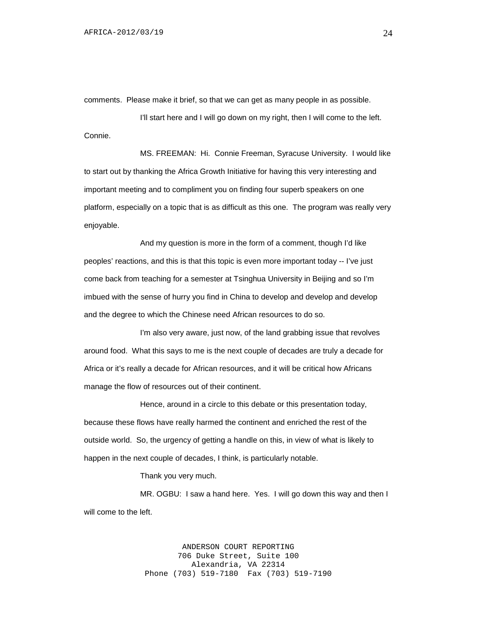comments. Please make it brief, so that we can get as many people in as possible.

I'll start here and I will go down on my right, then I will come to the left. Connie.

MS. FREEMAN: Hi. Connie Freeman, Syracuse University. I would like to start out by thanking the Africa Growth Initiative for having this very interesting and important meeting and to compliment you on finding four superb speakers on one platform, especially on a topic that is as difficult as this one. The program was really very enjoyable.

And my question is more in the form of a comment, though I'd like peoples' reactions, and this is that this topic is even more important today -- I've just come back from teaching for a semester at Tsinghua University in Beijing and so I'm imbued with the sense of hurry you find in China to develop and develop and develop and the degree to which the Chinese need African resources to do so.

I'm also very aware, just now, of the land grabbing issue that revolves around food. What this says to me is the next couple of decades are truly a decade for Africa or it's really a decade for African resources, and it will be critical how Africans manage the flow of resources out of their continent.

Hence, around in a circle to this debate or this presentation today, because these flows have really harmed the continent and enriched the rest of the outside world. So, the urgency of getting a handle on this, in view of what is likely to happen in the next couple of decades, I think, is particularly notable.

Thank you very much.

MR. OGBU: I saw a hand here. Yes. I will go down this way and then I will come to the left.

> ANDERSON COURT REPORTING 706 Duke Street, Suite 100 Alexandria, VA 22314 Phone (703) 519-7180 Fax (703) 519-7190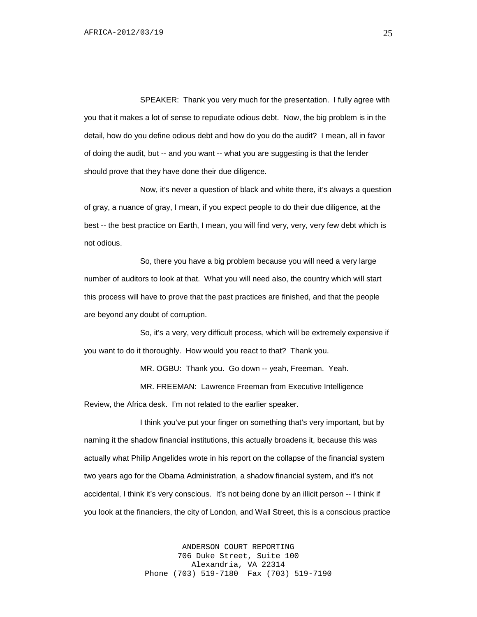SPEAKER: Thank you very much for the presentation. I fully agree with you that it makes a lot of sense to repudiate odious debt. Now, the big problem is in the detail, how do you define odious debt and how do you do the audit? I mean, all in favor of doing the audit, but -- and you want -- what you are suggesting is that the lender should prove that they have done their due diligence.

Now, it's never a question of black and white there, it's always a question of gray, a nuance of gray, I mean, if you expect people to do their due diligence, at the best -- the best practice on Earth, I mean, you will find very, very, very few debt which is not odious.

So, there you have a big problem because you will need a very large number of auditors to look at that. What you will need also, the country which will start this process will have to prove that the past practices are finished, and that the people are beyond any doubt of corruption.

So, it's a very, very difficult process, which will be extremely expensive if you want to do it thoroughly. How would you react to that? Thank you.

MR. OGBU: Thank you. Go down -- yeah, Freeman. Yeah.

MR. FREEMAN: Lawrence Freeman from Executive Intelligence Review, the Africa desk. I'm not related to the earlier speaker.

I think you've put your finger on something that's very important, but by naming it the shadow financial institutions, this actually broadens it, because this was actually what Philip Angelides wrote in his report on the collapse of the financial system two years ago for the Obama Administration, a shadow financial system, and it's not accidental, I think it's very conscious. It's not being done by an illicit person -- I think if you look at the financiers, the city of London, and Wall Street, this is a conscious practice

> ANDERSON COURT REPORTING 706 Duke Street, Suite 100 Alexandria, VA 22314 Phone (703) 519-7180 Fax (703) 519-7190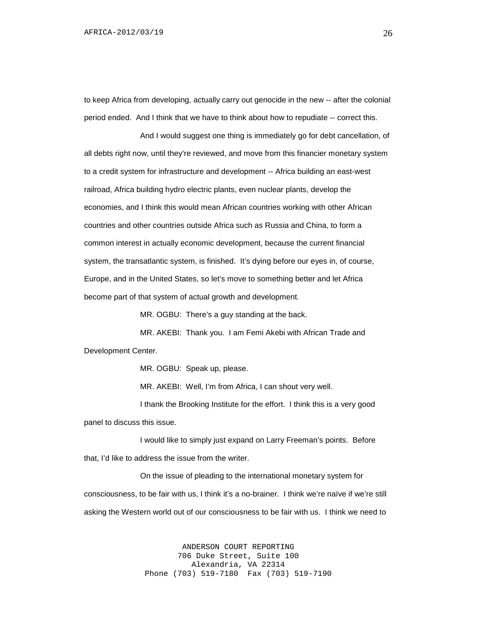to keep Africa from developing, actually carry out genocide in the new -- after the colonial period ended. And I think that we have to think about how to repudiate -- correct this.

And I would suggest one thing is immediately go for debt cancellation, of all debts right now, until they're reviewed, and move from this financier monetary system to a credit system for infrastructure and development -- Africa building an east-west railroad, Africa building hydro electric plants, even nuclear plants, develop the economies, and I think this would mean African countries working with other African countries and other countries outside Africa such as Russia and China, to form a common interest in actually economic development, because the current financial system, the transatlantic system, is finished. It's dying before our eyes in, of course, Europe, and in the United States, so let's move to something better and let Africa become part of that system of actual growth and development.

MR. OGBU: There's a guy standing at the back.

MR. AKEBI: Thank you. I am Femi Akebi with African Trade and Development Center.

MR. OGBU: Speak up, please.

MR. AKEBI: Well, I'm from Africa, I can shout very well.

I thank the Brooking Institute for the effort. I think this is a very good panel to discuss this issue.

I would like to simply just expand on Larry Freeman's points. Before that, I'd like to address the issue from the writer.

On the issue of pleading to the international monetary system for consciousness, to be fair with us, I think it's a no-brainer. I think we're naïve if we're still asking the Western world out of our consciousness to be fair with us. I think we need to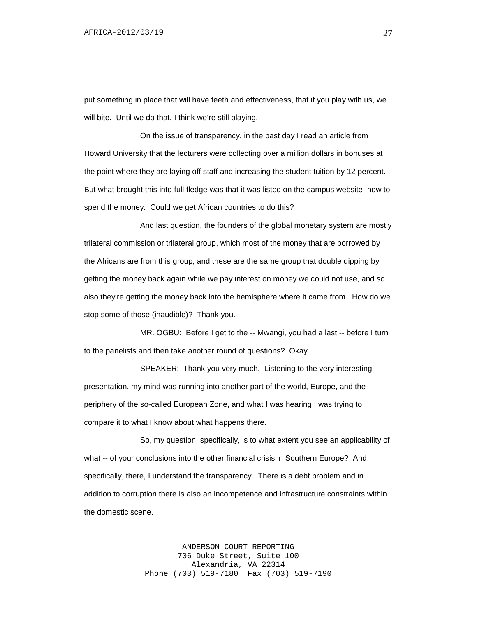put something in place that will have teeth and effectiveness, that if you play with us, we will bite. Until we do that, I think we're still playing.

On the issue of transparency, in the past day I read an article from Howard University that the lecturers were collecting over a million dollars in bonuses at the point where they are laying off staff and increasing the student tuition by 12 percent. But what brought this into full fledge was that it was listed on the campus website, how to spend the money. Could we get African countries to do this?

And last question, the founders of the global monetary system are mostly trilateral commission or trilateral group, which most of the money that are borrowed by the Africans are from this group, and these are the same group that double dipping by getting the money back again while we pay interest on money we could not use, and so also they're getting the money back into the hemisphere where it came from. How do we stop some of those (inaudible)? Thank you.

MR. OGBU: Before I get to the -- Mwangi, you had a last -- before I turn to the panelists and then take another round of questions? Okay.

SPEAKER: Thank you very much. Listening to the very interesting presentation, my mind was running into another part of the world, Europe, and the periphery of the so-called European Zone, and what I was hearing I was trying to compare it to what I know about what happens there.

So, my question, specifically, is to what extent you see an applicability of what -- of your conclusions into the other financial crisis in Southern Europe? And specifically, there, I understand the transparency. There is a debt problem and in addition to corruption there is also an incompetence and infrastructure constraints within the domestic scene.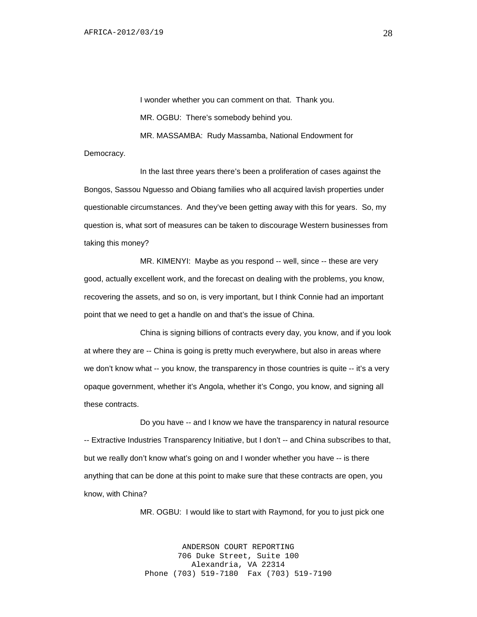I wonder whether you can comment on that. Thank you. MR. OGBU: There's somebody behind you. MR. MASSAMBA: Rudy Massamba, National Endowment for

Democracy.

In the last three years there's been a proliferation of cases against the Bongos, Sassou Nguesso and Obiang families who all acquired lavish properties under questionable circumstances. And they've been getting away with this for years. So, my question is, what sort of measures can be taken to discourage Western businesses from taking this money?

MR. KIMENYI: Maybe as you respond -- well, since -- these are very good, actually excellent work, and the forecast on dealing with the problems, you know, recovering the assets, and so on, is very important, but I think Connie had an important point that we need to get a handle on and that's the issue of China.

China is signing billions of contracts every day, you know, and if you look at where they are -- China is going is pretty much everywhere, but also in areas where we don't know what -- you know, the transparency in those countries is quite -- it's a very opaque government, whether it's Angola, whether it's Congo, you know, and signing all these contracts.

Do you have -- and I know we have the transparency in natural resource -- Extractive Industries Transparency Initiative, but I don't -- and China subscribes to that, but we really don't know what's going on and I wonder whether you have -- is there anything that can be done at this point to make sure that these contracts are open, you know, with China?

MR. OGBU: I would like to start with Raymond, for you to just pick one

ANDERSON COURT REPORTING 706 Duke Street, Suite 100 Alexandria, VA 22314 Phone (703) 519-7180 Fax (703) 519-7190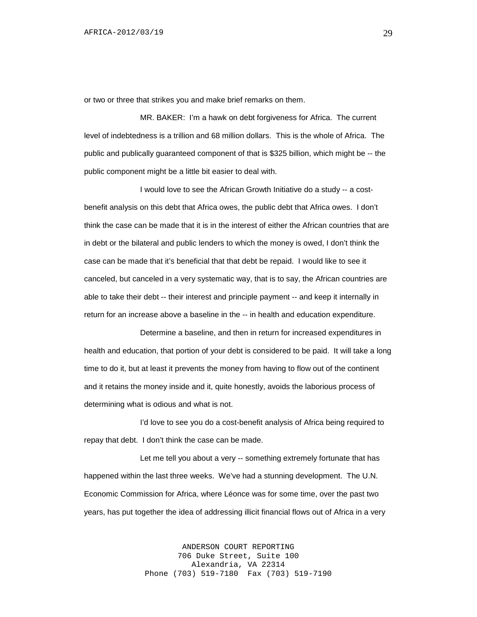or two or three that strikes you and make brief remarks on them.

MR. BAKER: I'm a hawk on debt forgiveness for Africa. The current level of indebtedness is a trillion and 68 million dollars. This is the whole of Africa. The public and publically guaranteed component of that is \$325 billion, which might be -- the public component might be a little bit easier to deal with.

I would love to see the African Growth Initiative do a study -- a costbenefit analysis on this debt that Africa owes, the public debt that Africa owes. I don't think the case can be made that it is in the interest of either the African countries that are in debt or the bilateral and public lenders to which the money is owed, I don't think the case can be made that it's beneficial that that debt be repaid. I would like to see it canceled, but canceled in a very systematic way, that is to say, the African countries are able to take their debt -- their interest and principle payment -- and keep it internally in return for an increase above a baseline in the -- in health and education expenditure.

Determine a baseline, and then in return for increased expenditures in health and education, that portion of your debt is considered to be paid. It will take a long time to do it, but at least it prevents the money from having to flow out of the continent and it retains the money inside and it, quite honestly, avoids the laborious process of determining what is odious and what is not.

I'd love to see you do a cost-benefit analysis of Africa being required to repay that debt. I don't think the case can be made.

Let me tell you about a very -- something extremely fortunate that has happened within the last three weeks. We've had a stunning development. The U.N. Economic Commission for Africa, where Léonce was for some time, over the past two years, has put together the idea of addressing illicit financial flows out of Africa in a very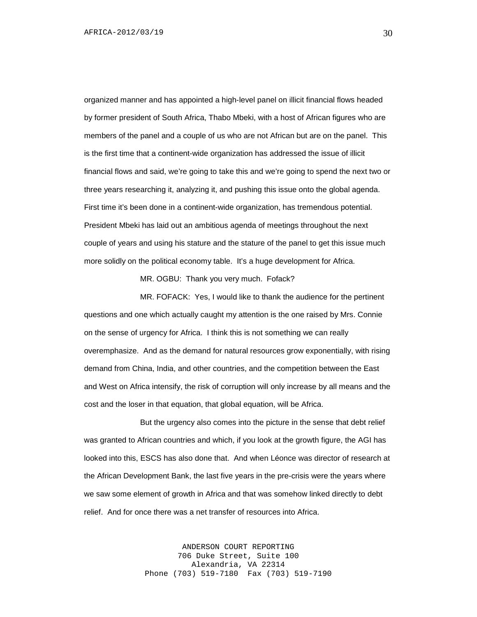organized manner and has appointed a high-level panel on illicit financial flows headed by former president of South Africa, Thabo Mbeki, with a host of African figures who are members of the panel and a couple of us who are not African but are on the panel. This is the first time that a continent-wide organization has addressed the issue of illicit financial flows and said, we're going to take this and we're going to spend the next two or three years researching it, analyzing it, and pushing this issue onto the global agenda. First time it's been done in a continent-wide organization, has tremendous potential. President Mbeki has laid out an ambitious agenda of meetings throughout the next couple of years and using his stature and the stature of the panel to get this issue much more solidly on the political economy table. It's a huge development for Africa.

MR. OGBU: Thank you very much. Fofack?

MR. FOFACK: Yes, I would like to thank the audience for the pertinent questions and one which actually caught my attention is the one raised by Mrs. Connie on the sense of urgency for Africa. I think this is not something we can really overemphasize. And as the demand for natural resources grow exponentially, with rising demand from China, India, and other countries, and the competition between the East and West on Africa intensify, the risk of corruption will only increase by all means and the cost and the loser in that equation, that global equation, will be Africa.

But the urgency also comes into the picture in the sense that debt relief was granted to African countries and which, if you look at the growth figure, the AGI has looked into this, ESCS has also done that. And when Léonce was director of research at the African Development Bank, the last five years in the pre-crisis were the years where we saw some element of growth in Africa and that was somehow linked directly to debt relief. And for once there was a net transfer of resources into Africa.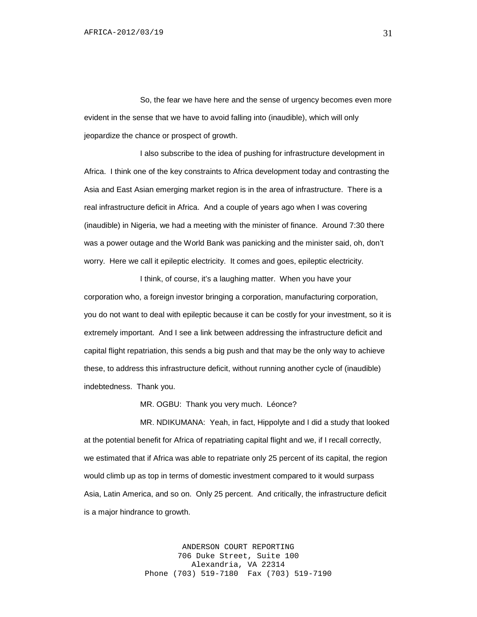So, the fear we have here and the sense of urgency becomes even more evident in the sense that we have to avoid falling into (inaudible), which will only jeopardize the chance or prospect of growth.

I also subscribe to the idea of pushing for infrastructure development in Africa. I think one of the key constraints to Africa development today and contrasting the Asia and East Asian emerging market region is in the area of infrastructure. There is a real infrastructure deficit in Africa. And a couple of years ago when I was covering (inaudible) in Nigeria, we had a meeting with the minister of finance. Around 7:30 there was a power outage and the World Bank was panicking and the minister said, oh, don't worry. Here we call it epileptic electricity. It comes and goes, epileptic electricity.

I think, of course, it's a laughing matter. When you have your corporation who, a foreign investor bringing a corporation, manufacturing corporation, you do not want to deal with epileptic because it can be costly for your investment, so it is extremely important. And I see a link between addressing the infrastructure deficit and capital flight repatriation, this sends a big push and that may be the only way to achieve these, to address this infrastructure deficit, without running another cycle of (inaudible) indebtedness. Thank you.

MR. OGBU: Thank you very much. Léonce?

MR. NDIKUMANA: Yeah, in fact, Hippolyte and I did a study that looked at the potential benefit for Africa of repatriating capital flight and we, if I recall correctly, we estimated that if Africa was able to repatriate only 25 percent of its capital, the region would climb up as top in terms of domestic investment compared to it would surpass Asia, Latin America, and so on. Only 25 percent. And critically, the infrastructure deficit is a major hindrance to growth.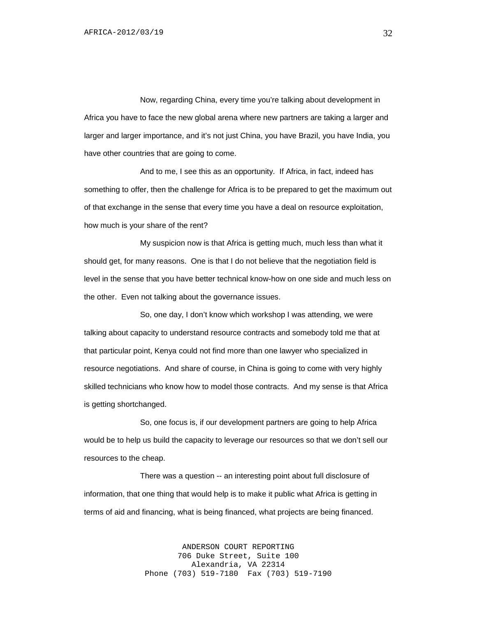Now, regarding China, every time you're talking about development in Africa you have to face the new global arena where new partners are taking a larger and larger and larger importance, and it's not just China, you have Brazil, you have India, you have other countries that are going to come.

And to me, I see this as an opportunity. If Africa, in fact, indeed has something to offer, then the challenge for Africa is to be prepared to get the maximum out of that exchange in the sense that every time you have a deal on resource exploitation, how much is your share of the rent?

My suspicion now is that Africa is getting much, much less than what it should get, for many reasons. One is that I do not believe that the negotiation field is level in the sense that you have better technical know-how on one side and much less on the other. Even not talking about the governance issues.

So, one day, I don't know which workshop I was attending, we were talking about capacity to understand resource contracts and somebody told me that at that particular point, Kenya could not find more than one lawyer who specialized in resource negotiations. And share of course, in China is going to come with very highly skilled technicians who know how to model those contracts. And my sense is that Africa is getting shortchanged.

So, one focus is, if our development partners are going to help Africa would be to help us build the capacity to leverage our resources so that we don't sell our resources to the cheap.

There was a question -- an interesting point about full disclosure of information, that one thing that would help is to make it public what Africa is getting in terms of aid and financing, what is being financed, what projects are being financed.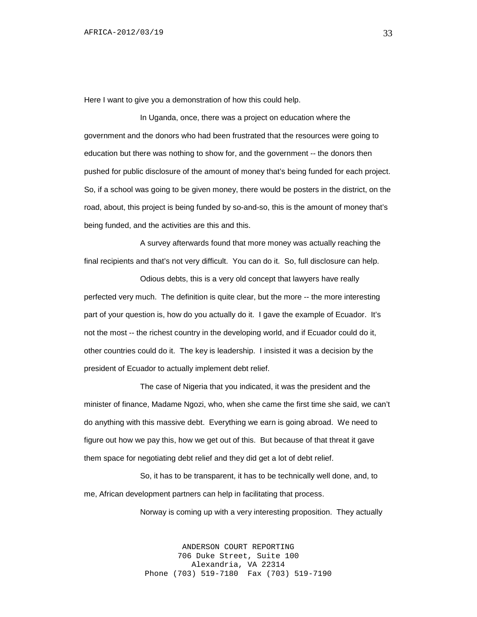Here I want to give you a demonstration of how this could help.

In Uganda, once, there was a project on education where the government and the donors who had been frustrated that the resources were going to education but there was nothing to show for, and the government -- the donors then pushed for public disclosure of the amount of money that's being funded for each project. So, if a school was going to be given money, there would be posters in the district, on the road, about, this project is being funded by so-and-so, this is the amount of money that's being funded, and the activities are this and this.

A survey afterwards found that more money was actually reaching the final recipients and that's not very difficult. You can do it. So, full disclosure can help.

Odious debts, this is a very old concept that lawyers have really perfected very much. The definition is quite clear, but the more -- the more interesting part of your question is, how do you actually do it. I gave the example of Ecuador. It's not the most -- the richest country in the developing world, and if Ecuador could do it, other countries could do it. The key is leadership. I insisted it was a decision by the president of Ecuador to actually implement debt relief.

The case of Nigeria that you indicated, it was the president and the minister of finance, Madame Ngozi, who, when she came the first time she said, we can't do anything with this massive debt. Everything we earn is going abroad. We need to figure out how we pay this, how we get out of this. But because of that threat it gave them space for negotiating debt relief and they did get a lot of debt relief.

So, it has to be transparent, it has to be technically well done, and, to me, African development partners can help in facilitating that process.

Norway is coming up with a very interesting proposition. They actually

ANDERSON COURT REPORTING 706 Duke Street, Suite 100 Alexandria, VA 22314 Phone (703) 519-7180 Fax (703) 519-7190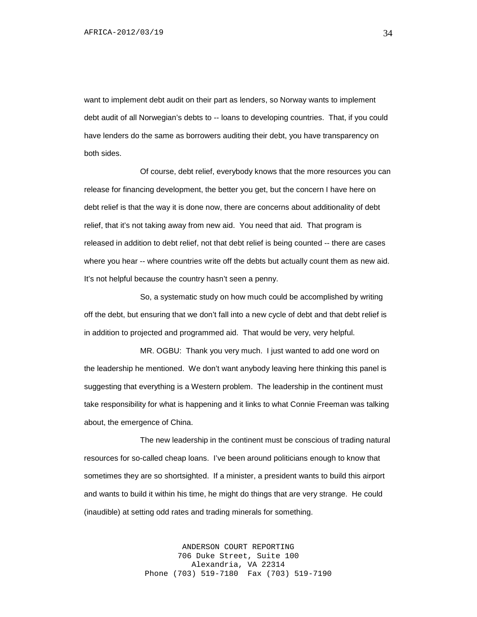want to implement debt audit on their part as lenders, so Norway wants to implement debt audit of all Norwegian's debts to -- loans to developing countries. That, if you could have lenders do the same as borrowers auditing their debt, you have transparency on both sides.

Of course, debt relief, everybody knows that the more resources you can release for financing development, the better you get, but the concern I have here on debt relief is that the way it is done now, there are concerns about additionality of debt relief, that it's not taking away from new aid. You need that aid. That program is released in addition to debt relief, not that debt relief is being counted -- there are cases where you hear -- where countries write off the debts but actually count them as new aid. It's not helpful because the country hasn't seen a penny.

So, a systematic study on how much could be accomplished by writing off the debt, but ensuring that we don't fall into a new cycle of debt and that debt relief is in addition to projected and programmed aid. That would be very, very helpful.

MR. OGBU: Thank you very much. I just wanted to add one word on the leadership he mentioned. We don't want anybody leaving here thinking this panel is suggesting that everything is a Western problem. The leadership in the continent must take responsibility for what is happening and it links to what Connie Freeman was talking about, the emergence of China.

The new leadership in the continent must be conscious of trading natural resources for so-called cheap loans. I've been around politicians enough to know that sometimes they are so shortsighted. If a minister, a president wants to build this airport and wants to build it within his time, he might do things that are very strange. He could (inaudible) at setting odd rates and trading minerals for something.

> ANDERSON COURT REPORTING 706 Duke Street, Suite 100 Alexandria, VA 22314 Phone (703) 519-7180 Fax (703) 519-7190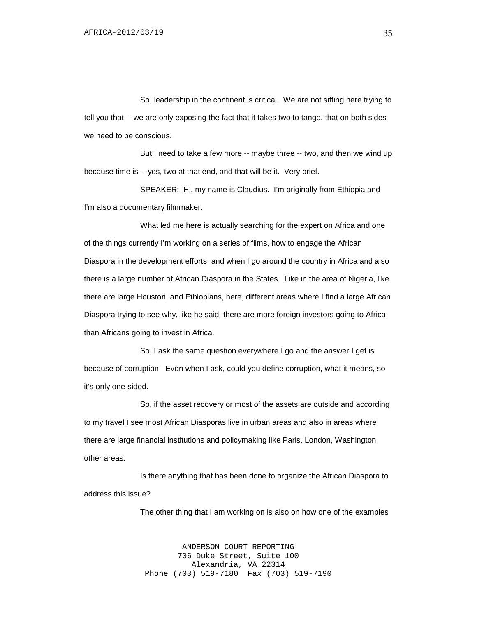So, leadership in the continent is critical. We are not sitting here trying to tell you that -- we are only exposing the fact that it takes two to tango, that on both sides we need to be conscious.

But I need to take a few more -- maybe three -- two, and then we wind up because time is -- yes, two at that end, and that will be it. Very brief.

SPEAKER: Hi, my name is Claudius. I'm originally from Ethiopia and I'm also a documentary filmmaker.

What led me here is actually searching for the expert on Africa and one of the things currently I'm working on a series of films, how to engage the African Diaspora in the development efforts, and when I go around the country in Africa and also there is a large number of African Diaspora in the States. Like in the area of Nigeria, like there are large Houston, and Ethiopians, here, different areas where I find a large African Diaspora trying to see why, like he said, there are more foreign investors going to Africa than Africans going to invest in Africa.

So, I ask the same question everywhere I go and the answer I get is because of corruption. Even when I ask, could you define corruption, what it means, so it's only one-sided.

So, if the asset recovery or most of the assets are outside and according to my travel I see most African Diasporas live in urban areas and also in areas where there are large financial institutions and policymaking like Paris, London, Washington, other areas.

Is there anything that has been done to organize the African Diaspora to address this issue?

The other thing that I am working on is also on how one of the examples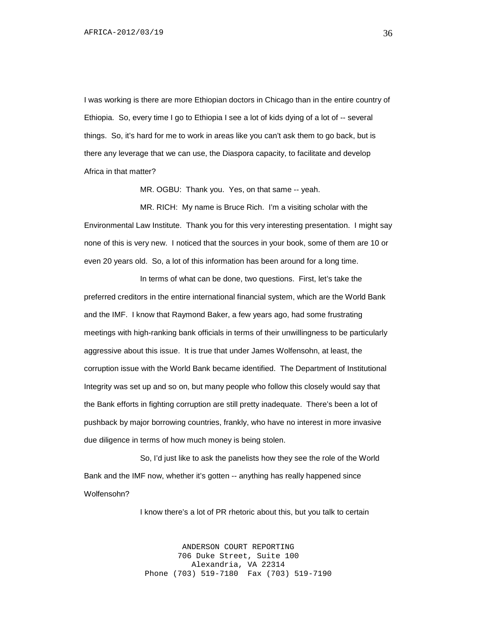I was working is there are more Ethiopian doctors in Chicago than in the entire country of Ethiopia. So, every time I go to Ethiopia I see a lot of kids dying of a lot of -- several things. So, it's hard for me to work in areas like you can't ask them to go back, but is there any leverage that we can use, the Diaspora capacity, to facilitate and develop Africa in that matter?

MR. OGBU: Thank you. Yes, on that same -- yeah.

MR. RICH: My name is Bruce Rich. I'm a visiting scholar with the Environmental Law Institute. Thank you for this very interesting presentation. I might say none of this is very new. I noticed that the sources in your book, some of them are 10 or even 20 years old. So, a lot of this information has been around for a long time.

In terms of what can be done, two questions. First, let's take the preferred creditors in the entire international financial system, which are the World Bank and the IMF. I know that Raymond Baker, a few years ago, had some frustrating meetings with high-ranking bank officials in terms of their unwillingness to be particularly aggressive about this issue. It is true that under James Wolfensohn, at least, the corruption issue with the World Bank became identified. The Department of Institutional Integrity was set up and so on, but many people who follow this closely would say that the Bank efforts in fighting corruption are still pretty inadequate. There's been a lot of pushback by major borrowing countries, frankly, who have no interest in more invasive due diligence in terms of how much money is being stolen.

So, I'd just like to ask the panelists how they see the role of the World Bank and the IMF now, whether it's gotten -- anything has really happened since Wolfensohn?

I know there's a lot of PR rhetoric about this, but you talk to certain

ANDERSON COURT REPORTING 706 Duke Street, Suite 100 Alexandria, VA 22314 Phone (703) 519-7180 Fax (703) 519-7190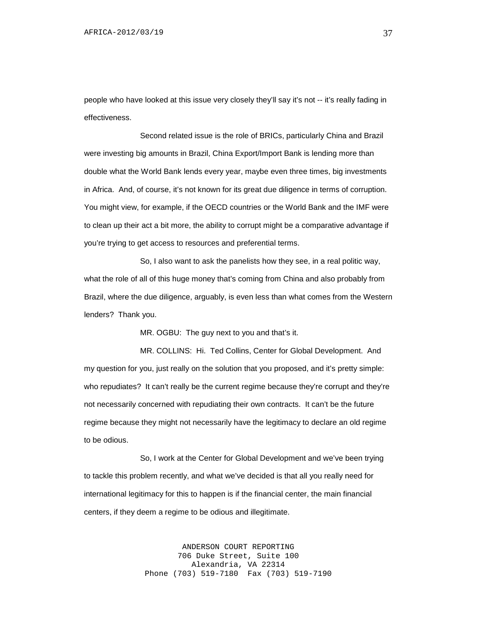people who have looked at this issue very closely they'll say it's not -- it's really fading in effectiveness.

Second related issue is the role of BRICs, particularly China and Brazil were investing big amounts in Brazil, China Export/Import Bank is lending more than double what the World Bank lends every year, maybe even three times, big investments in Africa. And, of course, it's not known for its great due diligence in terms of corruption. You might view, for example, if the OECD countries or the World Bank and the IMF were to clean up their act a bit more, the ability to corrupt might be a comparative advantage if you're trying to get access to resources and preferential terms.

So, I also want to ask the panelists how they see, in a real politic way, what the role of all of this huge money that's coming from China and also probably from Brazil, where the due diligence, arguably, is even less than what comes from the Western lenders? Thank you.

MR. OGBU: The guy next to you and that's it.

MR. COLLINS: Hi. Ted Collins, Center for Global Development. And my question for you, just really on the solution that you proposed, and it's pretty simple: who repudiates? It can't really be the current regime because they're corrupt and they're not necessarily concerned with repudiating their own contracts. It can't be the future regime because they might not necessarily have the legitimacy to declare an old regime to be odious.

So, I work at the Center for Global Development and we've been trying to tackle this problem recently, and what we've decided is that all you really need for international legitimacy for this to happen is if the financial center, the main financial centers, if they deem a regime to be odious and illegitimate.

> ANDERSON COURT REPORTING 706 Duke Street, Suite 100 Alexandria, VA 22314 Phone (703) 519-7180 Fax (703) 519-7190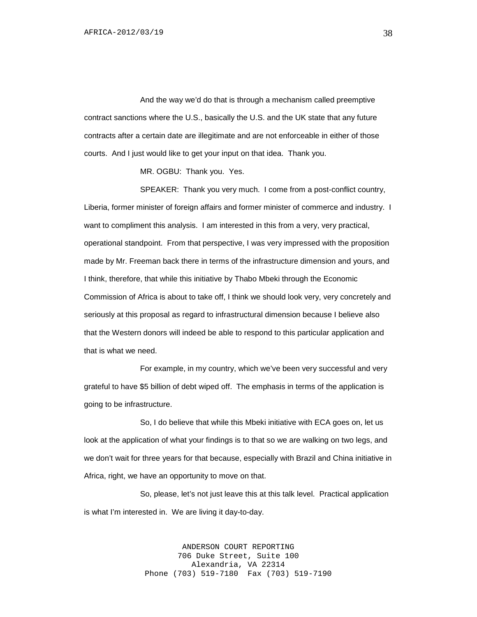And the way we'd do that is through a mechanism called preemptive contract sanctions where the U.S., basically the U.S. and the UK state that any future contracts after a certain date are illegitimate and are not enforceable in either of those courts. And I just would like to get your input on that idea. Thank you.

MR. OGBU: Thank you. Yes.

SPEAKER: Thank you very much. I come from a post-conflict country, Liberia, former minister of foreign affairs and former minister of commerce and industry. I want to compliment this analysis. I am interested in this from a very, very practical, operational standpoint. From that perspective, I was very impressed with the proposition made by Mr. Freeman back there in terms of the infrastructure dimension and yours, and I think, therefore, that while this initiative by Thabo Mbeki through the Economic Commission of Africa is about to take off, I think we should look very, very concretely and seriously at this proposal as regard to infrastructural dimension because I believe also that the Western donors will indeed be able to respond to this particular application and that is what we need.

For example, in my country, which we've been very successful and very grateful to have \$5 billion of debt wiped off. The emphasis in terms of the application is going to be infrastructure.

So, I do believe that while this Mbeki initiative with ECA goes on, let us look at the application of what your findings is to that so we are walking on two legs, and we don't wait for three years for that because, especially with Brazil and China initiative in Africa, right, we have an opportunity to move on that.

So, please, let's not just leave this at this talk level. Practical application is what I'm interested in. We are living it day-to-day.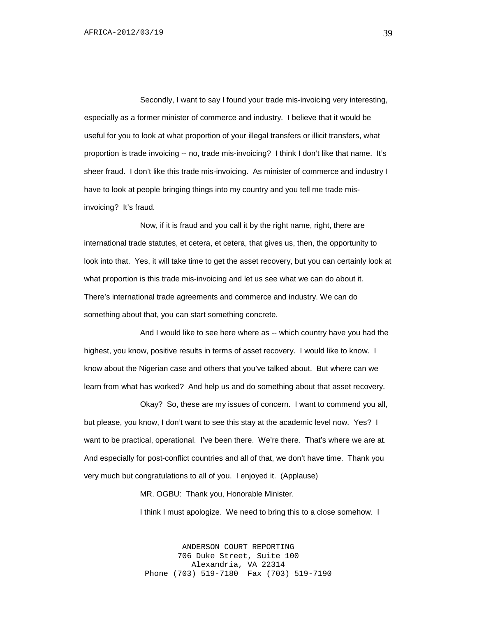Secondly, I want to say I found your trade mis-invoicing very interesting, especially as a former minister of commerce and industry. I believe that it would be useful for you to look at what proportion of your illegal transfers or illicit transfers, what proportion is trade invoicing -- no, trade mis-invoicing? I think I don't like that name. It's sheer fraud. I don't like this trade mis-invoicing. As minister of commerce and industry I have to look at people bringing things into my country and you tell me trade misinvoicing? It's fraud.

Now, if it is fraud and you call it by the right name, right, there are international trade statutes, et cetera, et cetera, that gives us, then, the opportunity to look into that. Yes, it will take time to get the asset recovery, but you can certainly look at what proportion is this trade mis-invoicing and let us see what we can do about it. There's international trade agreements and commerce and industry. We can do something about that, you can start something concrete.

And I would like to see here where as -- which country have you had the highest, you know, positive results in terms of asset recovery. I would like to know. I know about the Nigerian case and others that you've talked about. But where can we learn from what has worked? And help us and do something about that asset recovery.

Okay? So, these are my issues of concern. I want to commend you all, but please, you know, I don't want to see this stay at the academic level now. Yes? I want to be practical, operational. I've been there. We're there. That's where we are at. And especially for post-conflict countries and all of that, we don't have time. Thank you very much but congratulations to all of you. I enjoyed it. (Applause)

MR. OGBU: Thank you, Honorable Minister.

I think I must apologize. We need to bring this to a close somehow. I

ANDERSON COURT REPORTING 706 Duke Street, Suite 100 Alexandria, VA 22314 Phone (703) 519-7180 Fax (703) 519-7190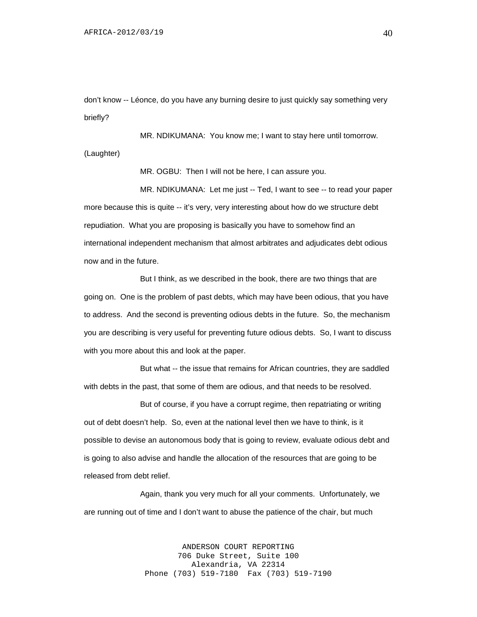don't know -- Léonce, do you have any burning desire to just quickly say something very briefly?

MR. NDIKUMANA: You know me; I want to stay here until tomorrow. (Laughter)

MR. OGBU: Then I will not be here, I can assure you.

MR. NDIKUMANA: Let me just -- Ted, I want to see -- to read your paper more because this is quite -- it's very, very interesting about how do we structure debt repudiation. What you are proposing is basically you have to somehow find an international independent mechanism that almost arbitrates and adjudicates debt odious now and in the future.

But I think, as we described in the book, there are two things that are going on. One is the problem of past debts, which may have been odious, that you have to address. And the second is preventing odious debts in the future. So, the mechanism you are describing is very useful for preventing future odious debts. So, I want to discuss with you more about this and look at the paper.

But what -- the issue that remains for African countries, they are saddled with debts in the past, that some of them are odious, and that needs to be resolved.

But of course, if you have a corrupt regime, then repatriating or writing out of debt doesn't help. So, even at the national level then we have to think, is it possible to devise an autonomous body that is going to review, evaluate odious debt and is going to also advise and handle the allocation of the resources that are going to be released from debt relief.

Again, thank you very much for all your comments. Unfortunately, we are running out of time and I don't want to abuse the patience of the chair, but much

> ANDERSON COURT REPORTING 706 Duke Street, Suite 100 Alexandria, VA 22314 Phone (703) 519-7180 Fax (703) 519-7190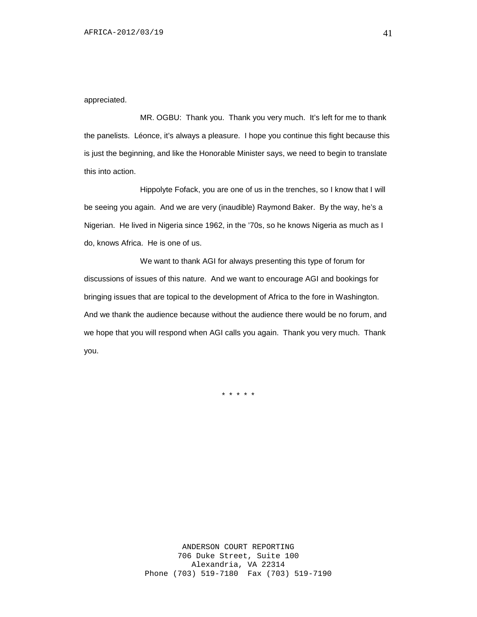#### appreciated.

MR. OGBU: Thank you. Thank you very much. It's left for me to thank the panelists. Léonce, it's always a pleasure. I hope you continue this fight because this is just the beginning, and like the Honorable Minister says, we need to begin to translate this into action.

Hippolyte Fofack, you are one of us in the trenches, so I know that I will be seeing you again. And we are very (inaudible) Raymond Baker. By the way, he's a Nigerian. He lived in Nigeria since 1962, in the '70s, so he knows Nigeria as much as I do, knows Africa. He is one of us.

We want to thank AGI for always presenting this type of forum for discussions of issues of this nature. And we want to encourage AGI and bookings for bringing issues that are topical to the development of Africa to the fore in Washington. And we thank the audience because without the audience there would be no forum, and we hope that you will respond when AGI calls you again. Thank you very much. Thank you.

\* \* \* \* \*

41